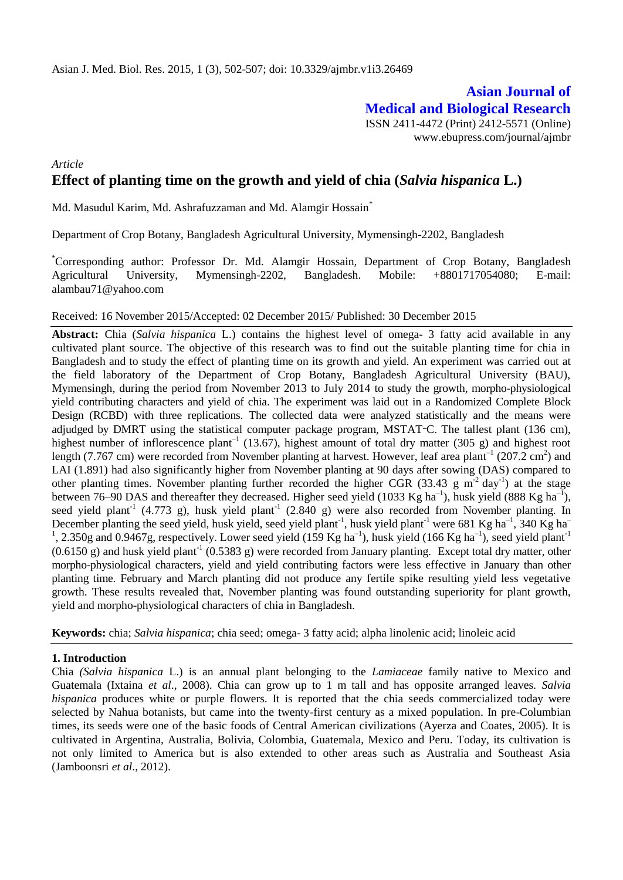# **Asian Journal of Medical and Biological Research**

ISSN 2411-4472 (Print) 2412-5571 (Online) www.ebupress.com/journal/ajmbr

## *Article* **Effect of planting time on the growth and yield of chia (***Salvia hispanica* **L.)**

Md. Masudul Karim, Md. Ashrafuzzaman and Md. Alamgir Hossain<sup>\*</sup>

Department of Crop Botany, Bangladesh Agricultural University, Mymensingh-2202, Bangladesh

\*Corresponding author: Professor Dr. Md. Alamgir Hossain, Department of Crop Botany, Bangladesh Agricultural University, Mymensingh-2202, Bangladesh. Mobile: +8801717054080; E-mail: alambau71@yahoo.com

#### Received: 16 November 2015/Accepted: 02 December 2015/ Published: 30 December 2015

**Abstract:** Chia (*Salvia hispanica* L.) contains the highest level of omega- 3 fatty acid available in any cultivated plant source. The objective of this research was to find out the suitable planting time for chia in Bangladesh and to study the effect of planting time on its growth and yield. An experiment was carried out at the field laboratory of the Department of Crop Botany, Bangladesh Agricultural University (BAU), Mymensingh, during the period from November 2013 to July 2014 to study the growth, morpho-physiological yield contributing characters and yield of chia. The experiment was laid out in a Randomized Complete Block Design (RCBD) with three replications. The collected data were analyzed statistically and the means were adjudged by DMRT using the statistical computer package program, MSTAT<sup>-</sup>C. The tallest plant (136 cm), highest number of inflorescence plant<sup>-1</sup> (13.67), highest amount of total dry matter (305 g) and highest root length (7.767 cm) were recorded from November planting at harvest. However, leaf area plant<sup>-1</sup> (207.2 cm<sup>2</sup>) and LAI (1.891) had also significantly higher from November planting at 90 days after sowing (DAS) compared to other planting times. November planting further recorded the higher CGR (33.43 g  $m^{-2}$  day<sup>-1</sup>) at the stage between 76–90 DAS and thereafter they decreased. Higher seed yield (1033 Kg ha<sup>-1</sup>), husk yield (888 Kg ha<sup>-1</sup>), seed yield plant<sup>-1</sup> (4.773 g), husk yield plant<sup>-1</sup> (2.840 g) were also recorded from November planting. In December planting the seed yield, husk yield, seed yield plant<sup>-1</sup>, husk yield plant<sup>-1</sup> were 681 Kg ha<sup>-1</sup>, 340 Kg ha<sup>-1</sup> <sup>1</sup>, 2.350g and 0.9467g, respectively. Lower seed yield (159 Kg ha<sup>-1</sup>), husk yield (166 Kg ha<sup>-1</sup>), seed yield plant<sup>-1</sup>  $(0.6150 \text{ g})$  and husk yield plant<sup>-1</sup>  $(0.5383 \text{ g})$  were recorded from January planting. Except total dry matter, other morpho-physiological characters, yield and yield contributing factors were less effective in January than other planting time. February and March planting did not produce any fertile spike resulting yield less vegetative growth. These results revealed that, November planting was found outstanding superiority for plant growth, yield and morpho-physiological characters of chia in Bangladesh.

**Keywords:** chia; *Salvia hispanica*; chia seed; omega- 3 fatty acid; alpha linolenic acid; linoleic acid

### **1. Introduction**

Chia *(Salvia hispanica* L.) is an annual plant belonging to the *Lamiaceae* family native to Mexico and Guatemala (Ixtaina *et al*., 2008). Chia can grow up to 1 m tall and has opposite arranged leaves. *Salvia hispanica* produces white or purple flowers. It is reported that the chia seeds commercialized today were selected by Nahua botanists, but came into the twenty-first century as a mixed population. In pre-Columbian times, its seeds were one of the basic foods of Central American civilizations (Ayerza and Coates, 2005). It is cultivated in Argentina, Australia, Bolivia, Colombia, Guatemala, Mexico and Peru. Today, its cultivation is not only limited to America but is also extended to other areas such as Australia and Southeast Asia (Jamboonsri *et al*., 2012).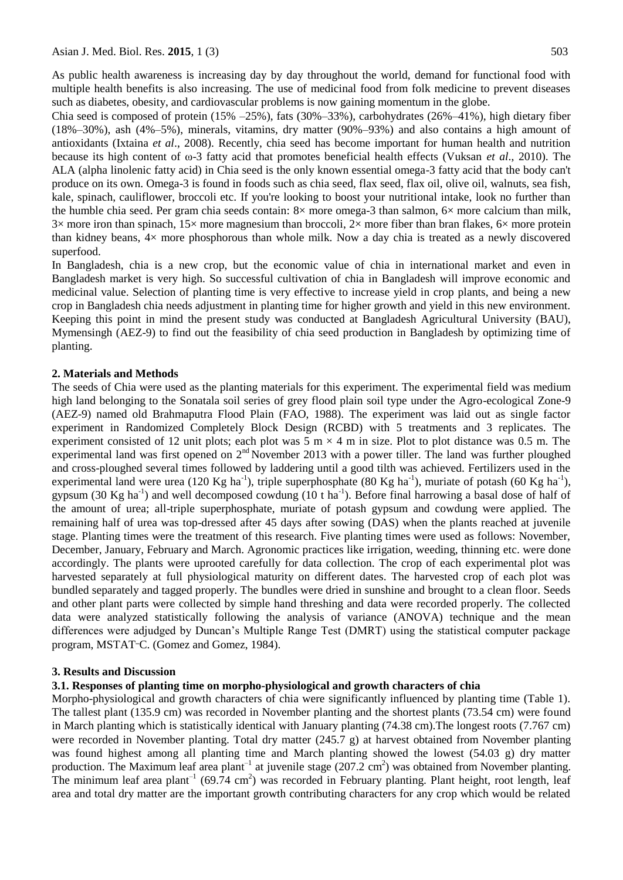As public health awareness is increasing day by day throughout the world, demand for functional food with multiple health benefits is also increasing. The use of medicinal food from folk medicine to prevent diseases such as diabetes, obesity, and cardiovascular problems is now gaining momentum in the globe.

Chia seed is composed of protein  $(15\% -25\%)$ , fats  $(30\% -33\%)$ , carbohydrates  $(26\% -41\%)$ , high dietary fiber (18%–30%), ash (4%–5%), minerals, vitamins, dry matter (90%–93%) and also contains a high amount of antioxidants (Ixtaina *et al*., 2008). Recently, chia seed has become important for human health and nutrition because its high content of ω-3 fatty acid that promotes beneficial health effects (Vuksan *et al*., 2010). The ALA (alpha linolenic fatty acid) in Chia seed is the only known essential omega-3 fatty acid that the body can't produce on its own. Omega-3 is found in foods such as chia seed, flax seed, flax oil, olive oil, walnuts, sea fish, kale, spinach, cauliflower, broccoli etc. If you're looking to boost your nutritional intake, look no further than the humble chia seed. Per gram chia seeds contain: 8× more omega-3 than salmon, 6× more calcium than milk,  $3\times$  more iron than spinach,  $15\times$  more magnesium than broccoli,  $2\times$  more fiber than bran flakes,  $6\times$  more protein than kidney beans,  $4\times$  more phosphorous than whole milk. Now a day chia is treated as a newly discovered superfood.

In Bangladesh, chia is a new crop, but the economic value of chia in international market and even in Bangladesh market is very high. So successful cultivation of chia in Bangladesh will improve economic and medicinal value. Selection of planting time is very effective to increase yield in crop plants, and being a new crop in Bangladesh chia needs adjustment in planting time for higher growth and yield in this new environment. Keeping this point in mind the present study was conducted at Bangladesh Agricultural University (BAU), Mymensingh (AEZ-9) to find out the feasibility of chia seed production in Bangladesh by optimizing time of planting.

#### **2. Materials and Methods**

The seeds of Chia were used as the planting materials for this experiment. The experimental field was medium high land belonging to the Sonatala soil series of grey flood plain soil type under the Agro-ecological Zone-9 (AEZ-9) named old Brahmaputra Flood Plain (FAO, 1988). The experiment was laid out as single factor experiment in Randomized Completely Block Design (RCBD) with 5 treatments and 3 replicates. The experiment consisted of 12 unit plots; each plot was 5 m  $\times$  4 m in size. Plot to plot distance was 0.5 m. The experimental land was first opened on  $2<sup>nd</sup>$  November 2013 with a power tiller. The land was further ploughed and cross-ploughed several times followed by laddering until a good tilth was achieved. Fertilizers used in the experimental land were urea (120 Kg ha<sup>-1</sup>), triple superphosphate (80 Kg ha<sup>-1</sup>), muriate of potash (60 Kg ha<sup>-1</sup>), gypsum (30 Kg ha<sup>-1</sup>) and well decomposed cowdung (10 t ha<sup>-1</sup>). Before final harrowing a basal dose of half of the amount of urea; all-triple superphosphate, muriate of potash gypsum and cowdung were applied. The remaining half of urea was top-dressed after 45 days after sowing (DAS) when the plants reached at juvenile stage. Planting times were the treatment of this research. Five planting times were used as follows: November, December, January, February and March. Agronomic practices like irrigation, weeding, thinning etc. were done accordingly. The plants were uprooted carefully for data collection. The crop of each experimental plot was harvested separately at full physiological maturity on different dates. The harvested crop of each plot was bundled separately and tagged properly. The bundles were dried in sunshine and brought to a clean floor. Seeds and other plant parts were collected by simple hand threshing and data were recorded properly. The collected data were analyzed statistically following the analysis of variance (ANOVA) technique and the mean differences were adjudged by Duncan's Multiple Range Test (DMRT) using the statistical computer package program, MSTAT**\_**C. (Gomez and Gomez, 1984).

#### **3. Results and Discussion**

### **3.1. Responses of planting time on morpho-physiological and growth characters of chia**

Morpho-physiological and growth characters of chia were significantly influenced by planting time (Table 1). The tallest plant (135.9 cm) was recorded in November planting and the shortest plants (73.54 cm) were found in March planting which is statistically identical with January planting (74.38 cm).The longest roots (7.767 cm) were recorded in November planting. Total dry matter (245.7 g) at harvest obtained from November planting was found highest among all planting time and March planting showed the lowest (54.03 g) dry matter production. The Maximum leaf area plant<sup>-1</sup> at juvenile stage  $(207.2 \text{ cm}^2)$  was obtained from November planting. The minimum leaf area plant<sup>-1</sup> (69.74 cm<sup>2</sup>) was recorded in February planting. Plant height, root length, leaf area and total dry matter are the important growth contributing characters for any crop which would be related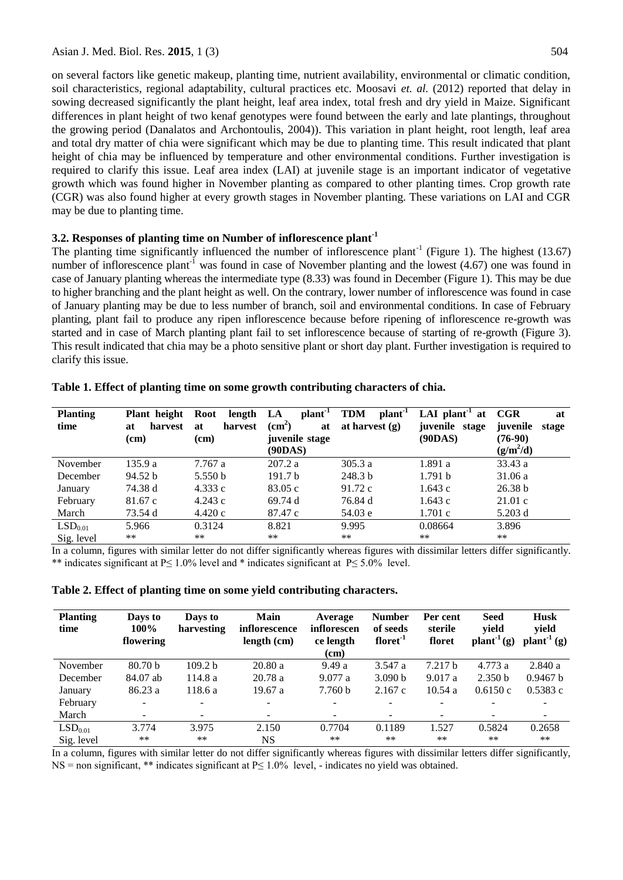on several factors like genetic makeup, planting time, nutrient availability, environmental or climatic condition, soil characteristics, regional adaptability, cultural practices etc. Moosavi *et. al.* (2012) reported that delay in sowing decreased significantly the plant height, leaf area index, total fresh and dry yield in Maize. Significant differences in plant height of two kenaf genotypes were found between the early and late plantings, throughout the growing period (Danalatos and Archontoulis, 2004)). This variation in plant height, root length, leaf area and total dry matter of chia were significant which may be due to planting time. This result indicated that plant height of chia may be influenced by temperature and other environmental conditions. Further investigation is required to clarify this issue. Leaf area index (LAI) at juvenile stage is an important indicator of vegetative growth which was found higher in November planting as compared to other planting times. Crop growth rate (CGR) was also found higher at every growth stages in November planting. These variations on LAI and CGR may be due to planting time.

### **3.2. Responses of planting time on Number of inflorescence plant-1**

The planting time significantly influenced the number of inflorescence plant<sup>-1</sup> (Figure 1). The highest  $(13.67)$ number of inflorescence plant<sup>-1</sup> was found in case of November planting and the lowest  $(4.67)$  one was found in case of January planting whereas the intermediate type (8.33) was found in December (Figure 1). This may be due to higher branching and the plant height as well. On the contrary, lower number of inflorescence was found in case of January planting may be due to less number of branch, soil and environmental conditions. In case of February planting, plant fail to produce any ripen inflorescence because before ripening of inflorescence re-growth was started and in case of March planting plant fail to set inflorescence because of starting of re-growth (Figure 3). This result indicated that chia may be a photo sensitive plant or short day plant. Further investigation is required to clarify this issue.

| <b>Planting</b><br>time | Plant height<br>harvest<br>at<br>(cm) | length<br>Root<br>harvest<br>at<br>(cm) | $plan-1$<br>LA<br>(cm <sup>2</sup> )<br>at<br>juvenile stage<br>(90DAS) | <b>TDM</b><br>plant <sup>-1</sup><br>at harvest $(g)$ | LAI plant <sup>1</sup> at<br>juvenile stage<br>(90DAS) | CGR<br>at<br>juvenile<br>stage<br>$(76-90)$<br>$(g/m^2/d)$ |
|-------------------------|---------------------------------------|-----------------------------------------|-------------------------------------------------------------------------|-------------------------------------------------------|--------------------------------------------------------|------------------------------------------------------------|
| November                | 135.9a                                | 7.767a                                  | 207.2 a                                                                 | 305.3a                                                | 1.891 a                                                | 33.43a                                                     |
| December                | 94.52 b                               | 5.550 b                                 | 191.7 <sub>b</sub>                                                      | 248.3 b                                               | 1.791h                                                 | 31.06 a                                                    |
| January                 | 74.38 d                               | 4.333c                                  | 83.05c                                                                  | 91.72c                                                | 1.643 c                                                | 26.38 b                                                    |
| February                | 81.67 c                               | 4.243c                                  | 69.74d                                                                  | 76.84 d                                               | 1.643 c                                                | 21.01c                                                     |
| March                   | 73.54 d                               | 4.420c                                  | 87.47 c                                                                 | 54.03 e                                               | 1.701c                                                 | 5.203 d                                                    |
| LSD <sub>0.01</sub>     | 5.966                                 | 0.3124                                  | 8.821                                                                   | 9.995                                                 | 0.08664                                                | 3.896                                                      |
| Sig. level              | $***$                                 | **                                      | $***$                                                                   | **                                                    | **                                                     | **                                                         |

**Table 1. Effect of planting time on some growth contributing characters of chia.**

In a column, figures with similar letter do not differ significantly whereas figures with dissimilar letters differ significantly. \*\* indicates significant at P≤ 1.0% level and \* indicates significant at P≤ 5.0% level.

|  |  |  |  | Table 2. Effect of planting time on some yield contributing characters. |
|--|--|--|--|-------------------------------------------------------------------------|
|--|--|--|--|-------------------------------------------------------------------------|

| <b>Planting</b><br>time | Days to<br>100%<br>flowering | Days to<br>harvesting    | Main<br>inflorescence<br>length (cm) | Average<br>inflorescen<br>ce length<br>(cm) | <b>Number</b><br>of seeds<br>floret <sup>1</sup> | Per cent<br>sterile<br>floret | <b>Seed</b><br>yield<br>$plant-1(g)$ | <b>Husk</b><br>yield<br>$\mathbf{plant}^{-1}(\mathbf{g})$ |
|-------------------------|------------------------------|--------------------------|--------------------------------------|---------------------------------------------|--------------------------------------------------|-------------------------------|--------------------------------------|-----------------------------------------------------------|
| November                | 80.70 <sub>b</sub>           | 109.2 <sub>b</sub>       | 20.80a                               | 9.49a                                       | 3.547a                                           | 7.217h                        | 4.773 a                              | 2.840a                                                    |
| December                | 84.07 ab                     | 114.8a                   | 20.78a                               | 9.077a                                      | 3.090 b                                          | 9.017a                        | 2.350 <sub>b</sub>                   | 0.9467 b                                                  |
| January                 | 86.23a                       | 118.6 a                  | 19.67 a                              | 7.760 b                                     | 2.167c                                           | 10.54a                        | 0.6150c                              | 0.5383c                                                   |
| February                | $\overline{\phantom{a}}$     | $\overline{\phantom{a}}$ |                                      |                                             |                                                  |                               |                                      |                                                           |
| March                   |                              | $\overline{\phantom{a}}$ |                                      |                                             | $\overline{\phantom{0}}$                         | $\overline{\phantom{a}}$      |                                      |                                                           |
| LSD <sub>0.01</sub>     | 3.774                        | 3.975                    | 2.150                                | 0.7704                                      | 0.1189                                           | 1.527                         | 0.5824                               | 0.2658                                                    |
| Sig. level              | **                           | $***$                    | NS                                   | $***$                                       | **                                               | $**$                          | **                                   | $***$                                                     |

In a column, figures with similar letter do not differ significantly whereas figures with dissimilar letters differ significantly, NS = non significant, \*\* indicates significant at P≤ 1.0% level, - indicates no yield was obtained.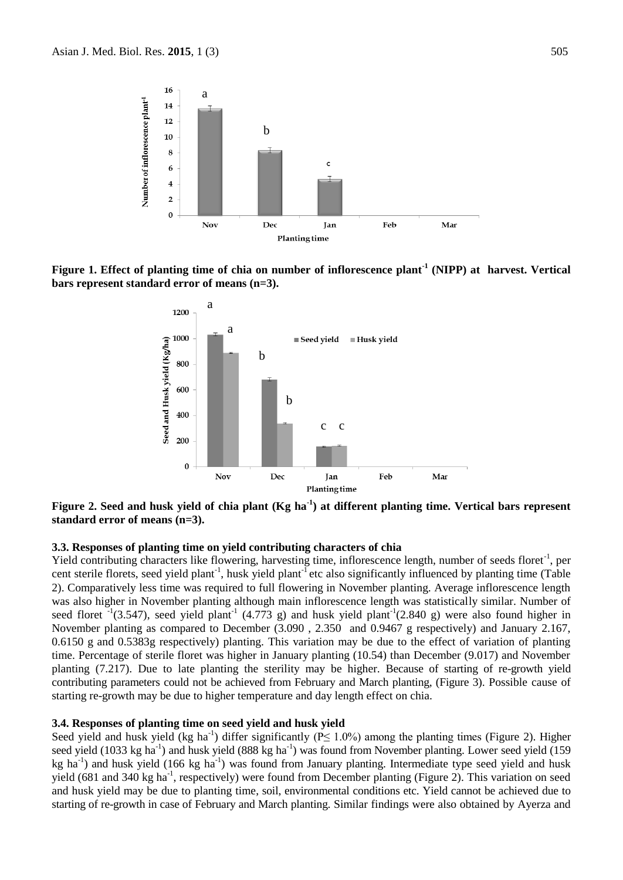

**Figure 1. Effect of planting time of chia on number of inflorescence plant-1 (NIPP) at harvest. Vertical bars represent standard error of means (n=3).**



**Figure 2. Seed and husk yield of chia plant (Kg ha-1 ) at different planting time. Vertical bars represent standard error of means (n=3).**

#### **3.3. Responses of planting time on yield contributing characters of chia**

Yield contributing characters like flowering, harvesting time, inflorescence length, number of seeds floret<sup>-1</sup>, per cent sterile florets, seed yield plant<sup>-1</sup>, husk yield plant<sup>-1</sup> etc also significantly influenced by planting time (Table 2). Comparatively less time was required to full flowering in November planting. Average inflorescence length was also higher in November planting although main inflorescence length was statistically similar. Number of seed floret  $^{-1}(3.547)$ , seed yield plant<sup>-1</sup> (4.773 g) and husk yield plant<sup>-1</sup>(2.840 g) were also found higher in November planting as compared to December (3.090 , 2.350 and 0.9467 g respectively) and January 2.167, 0.6150 g and 0.5383g respectively) planting. This variation may be due to the effect of variation of planting time. Percentage of sterile floret was higher in January planting (10.54) than December (9.017) and November planting (7.217). Due to late planting the sterility may be higher. Because of starting of re-growth yield contributing parameters could not be achieved from February and March planting, (Figure 3). Possible cause of starting re-growth may be due to higher temperature and day length effect on chia.

#### **3.4. Responses of planting time on seed yield and husk yield**

Seed yield and husk yield (kg ha<sup>-1</sup>) differ significantly ( $P \le 1.0\%$ ) among the planting times (Figure 2). Higher seed yield (1033 kg ha<sup>-1</sup>) and husk yield (888 kg ha<sup>-1</sup>) was found from November planting. Lower seed yield (159 kg ha<sup>-1</sup>) and husk yield (166 kg ha<sup>-1</sup>) was found from January planting. Intermediate type seed yield and husk yield (681 and 340 kg ha<sup>-1</sup>, respectively) were found from December planting (Figure 2). This variation on seed and husk yield may be due to planting time, soil, environmental conditions etc. Yield cannot be achieved due to starting of re-growth in case of February and March planting. Similar findings were also obtained by Ayerza and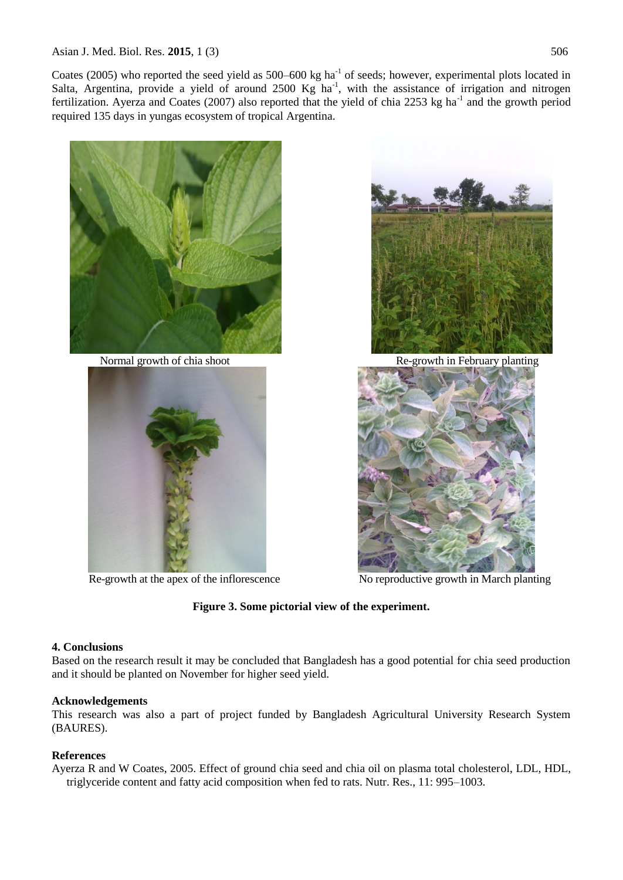Coates (2005) who reported the seed yield as  $500-600$  kg ha<sup>-1</sup> of seeds; however, experimental plots located in Salta, Argentina, provide a yield of around  $2500$  Kg ha<sup>-1</sup>, with the assistance of irrigation and nitrogen fertilization. Ayerza and Coates (2007) also reported that the yield of chia 2253 kg ha<sup>-1</sup> and the growth period required 135 days in yungas ecosystem of tropical Argentina.









Re-growth at the apex of the inflorescence No reproductive growth in March planting

### **Figure 3. Some pictorial view of the experiment.**

### **4. Conclusions**

Based on the research result it may be concluded that Bangladesh has a good potential for chia seed production and it should be planted on November for higher seed yield.

### **Acknowledgements**

This research was also a part of project funded by Bangladesh Agricultural University Research System (BAURES).

### **References**

Ayerza R and W Coates, 2005. Effect of ground chia seed and chia oil on plasma total cholesterol, LDL, HDL, triglyceride content and fatty acid composition when fed to rats. Nutr. Res., 11: 995–1003.